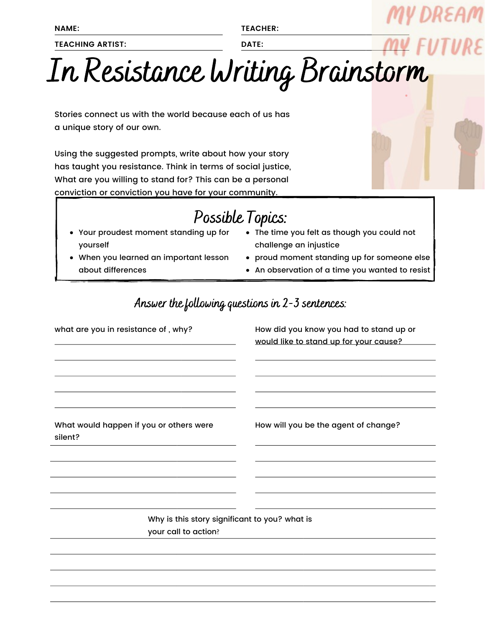**NAME:**

**TEACHING ARTIST:**

**TEACHER:**

**DATE:**

## In Resistance Writing Brainstorm

Stories connect us with the world because each of us has a unique story of our own.

Using the suggested prompts, write about how your story has taught you resistance. Think in terms of social justice, What are you willing to stand for? This can be a personal conviction or conviction you have for your community.

## Possible Topics:

- Your proudest moment standing up for yourself
- When you learned an important lesson about differences
- The time you felt as though you could not challenge an injustice
- proud moment standing up for someone else
- An observation of a time you wanted to resist

Answer the following questions in  $2-3$  sentences:

| what are you in resistance of, why?                                   | How did you know you had to stand up or<br>would like to stand up for your cause? |
|-----------------------------------------------------------------------|-----------------------------------------------------------------------------------|
| What would happen if you or others were<br>silent?                    | How will you be the agent of change?                                              |
| Why is this story significant to you? what is<br>your call to action? |                                                                                   |

DREAM